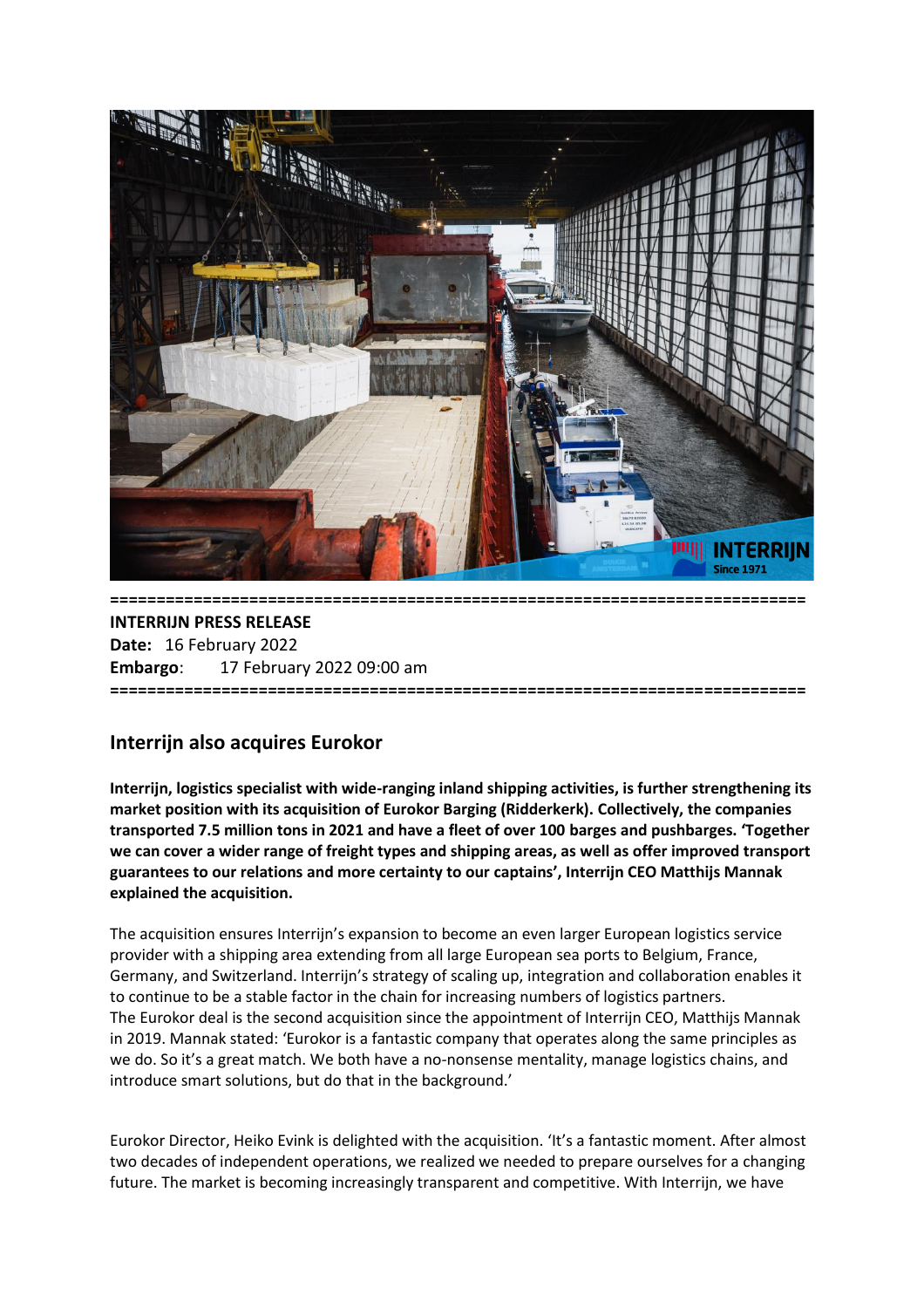

# **INTERRIJN PRESS RELEASE Date:** 16 February 2022 **Embargo**: 17 February 2022 09:00 am **===========================================================================**

# **Interrijn also acquires Eurokor**

**Interrijn, logistics specialist with wide-ranging inland shipping activities, is further strengthening its market position with its acquisition of Eurokor Barging (Ridderkerk). Collectively, the companies transported 7.5 million tons in 2021 and have a fleet of over 100 barges and pushbarges. 'Together we can cover a wider range of freight types and shipping areas, as well as offer improved transport guarantees to our relations and more certainty to our captains', Interrijn CEO Matthijs Mannak explained the acquisition.** 

The acquisition ensures Interrijn's expansion to become an even larger European logistics service provider with a shipping area extending from all large European sea ports to Belgium, France, Germany, and Switzerland. Interrijn's strategy of scaling up, integration and collaboration enables it to continue to be a stable factor in the chain for increasing numbers of logistics partners. The Eurokor deal is the second acquisition since the appointment of Interrijn CEO, Matthijs Mannak in 2019. Mannak stated: 'Eurokor is a fantastic company that operates along the same principles as we do. So it's a great match. We both have a no*-*nonsense mentality, manage logistics chains, and introduce smart solutions, but do that in the background.'

Eurokor Director, Heiko Evink is delighted with the acquisition. 'It's a fantastic moment. After almost two decades of independent operations, we realized we needed to prepare ourselves for a changing future. The market is becoming increasingly transparent and competitive. With Interrijn, we have